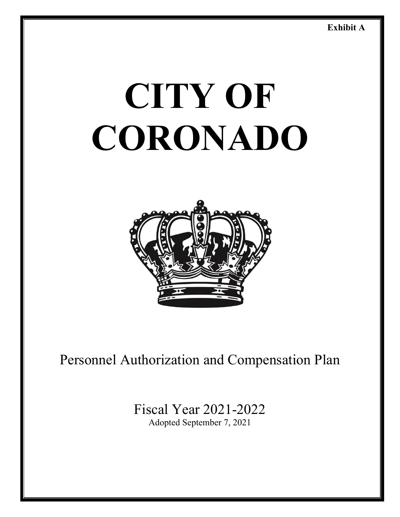# **CITY OF CORONADO**



## Personnel Authorization and Compensation Plan

Fiscal Year 2021-2022 Adopted September 7, 2021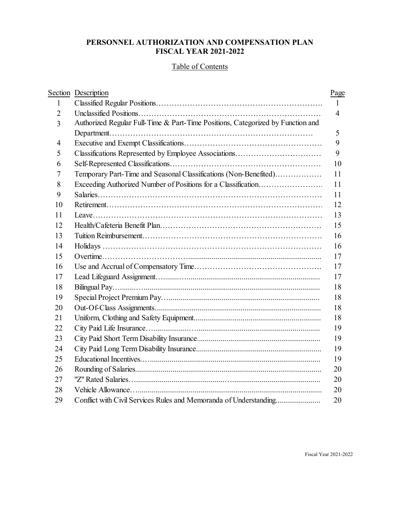## **PERSONNEL AUTHORIZATION AND COMPENSATION PLAN FISCAL YEAR 2021-2022**

## Table of Contents

|                | Section Description                                                             | Page         |
|----------------|---------------------------------------------------------------------------------|--------------|
| 1              |                                                                                 | $\mathbf{1}$ |
| $\overline{2}$ |                                                                                 | 4            |
| 3              | Authorized Regular Full-Time & Part-Time Positions, Categorized by Function and |              |
|                |                                                                                 | 5            |
| 4              |                                                                                 | 9            |
| 5              |                                                                                 | 9            |
| 6              |                                                                                 | 10           |
| 7              | Temporary Part-Time and Seasonal Classifications (Non-Benefited)                | 11           |
| 8              | Exceeding Authorized Number of Positions for a Classification                   | 11           |
| 9              |                                                                                 | 11           |
| 10             |                                                                                 | 12           |
| 11             |                                                                                 | 13           |
| 12             |                                                                                 | 15           |
| 13             |                                                                                 | 16           |
| 14             |                                                                                 | 16           |
| 15             |                                                                                 | 17           |
| 16             |                                                                                 | 17           |
| 17             |                                                                                 | 17           |
| 18             |                                                                                 | 18           |
| 19             |                                                                                 | 18           |
| 20             |                                                                                 | 18           |
| 21             |                                                                                 | 18           |
| 22             |                                                                                 | 19           |
| 23             |                                                                                 | 19           |
| 24             |                                                                                 | 19           |
| 25             |                                                                                 | 19           |
| 26             |                                                                                 | 20           |
| 27             |                                                                                 | 20           |
| 28             |                                                                                 | 20           |
| 29             | Conflict with Civil Services Rules and Memoranda of Understanding               | 20           |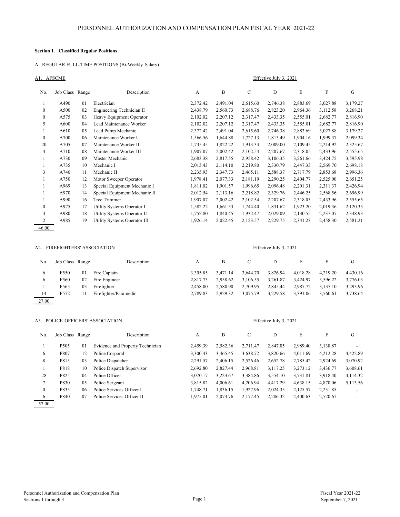#### **Section 1. Classified Regular Positions**

#### A. REGULAR FULL-TIME POSITIONS (Bi-Weekly Salary)

| A1. | <b>AFSCME</b> |
|-----|---------------|
|     |               |

|                  | A1. AFSCME<br>Effective July 3, 2021 |    |                               |              |          |             |          |          |           |          |
|------------------|--------------------------------------|----|-------------------------------|--------------|----------|-------------|----------|----------|-----------|----------|
| No.              | Job Class Range                      |    | Description                   | $\mathbf{A}$ | B        | $\mathbf C$ | D        | E        | ${\rm F}$ | G        |
|                  | A490                                 | 01 | Electrician                   | 2,372.42     | 2,491.04 | 2,615.60    | 2,746.38 | 2,883.69 | 3,027.88  | 3,179.27 |
| $\boldsymbol{0}$ | A500                                 | 02 | Engineering Technician II     | 2,438.79     | 2,560.73 | 2,688.76    | 2,823.20 | 2,964.36 | 3,112.58  | 3,268.21 |
| $\boldsymbol{0}$ | A575                                 | 03 | Heavy Equipment Operator      | 2,102.02     | 2,207.12 | 2,317.47    | 2,433.35 | 2,555.01 | 2,682.77  | 2,816.90 |
| 5                | A600                                 | 04 | Lead Maintenance Worker       | 2,102.02     | 2,207.12 | 2,317.47    | 2,433.35 | 2,555.01 | 2,682.77  | 2,816.90 |
|                  | A610                                 | 05 | Lead Pump Mechanic            | 2,372.42     | 2,491.04 | 2,615.60    | 2,746.38 | 2,883.69 | 3,027.88  | 3,179.27 |
| $\mathbf{0}$     | A700                                 | 06 | Maintenance Worker I          | 1,566.56     | 1,644.88 | 1,727.13    | 1,813.49 | 1,904.16 | 1,999.37  | 2,099.34 |
| 20               | A705                                 | 07 | Maintenance Worker II         | 1,735.45     | 1,822.22 | 1,913.33    | 2,009.00 | 2,109.45 | 2,214.92  | 2,325.67 |
| 4                | A710                                 | 08 | Maintenance Worker III        | 1,907.07     | 2,002.42 | 2,102.54    | 2,207.67 | 2,318.05 | 2,433.96  | 2,555.65 |
|                  | A730                                 | 09 | Master Mechanic               | 2,683.38     | 2,817.55 | 2,958.42    | 3,106.35 | 3,261.66 | 3,424.75  | 3,595.98 |
|                  | A735                                 | 10 | Mechanic I                    | 2,013.43     | 2,114.10 | 2,219.80    | 2,330.79 | 2,447.33 | 2,569.70  | 2,698.18 |
| 3                | A740                                 | 11 | Mechanic II                   | 2,235.93     | 2,347.73 | 2,465.11    | 2,588.37 | 2,717.79 | 2,853.68  | 2,996.36 |
|                  | A750                                 | 12 | Motor Sweeper Operator        | 1,978.41     | 2,077.33 | 2,181.19    | 2,290.25 | 2,404.77 | 2,525.00  | 2,651.25 |
|                  | A969                                 | 13 | Special Equipment Mechanic I  | 1,811.02     | 1,901.57 | 1,996.65    | 2,096.48 | 2,201.31 | 2,311.37  | 2,426.94 |
|                  | A970                                 | 14 | Special Equipment Mechanic II | 2,012.54     | 2,113.16 | 2,218.82    | 2,329.76 | 2,446.25 | 2,568.56  | 2,696.99 |
| 1                | A990                                 | 16 | Tree Trimmer                  | 1,907.07     | 2,002.42 | 2,102.54    | 2,207.67 | 2,318.05 | 2,433.96  | 2,555.65 |
| $\boldsymbol{0}$ | A975                                 | 17 | Utility Systems Operator I    | 1,582.22     | 1,661.33 | 1,744.40    | 1,831.62 | 1,923.20 | 2,019.36  | 2,120.33 |
| 4                | A980                                 | 18 | Utility Systems Operator II   | 1,752.80     | 1,840.45 | 1,932.47    | 2,029.09 | 2,130.55 | 2,237.07  | 2,348.93 |
| 2                | A985                                 | 19 | Utility Systems Operator III  | 1,926.14     | 2,022.45 | 2,123.57    | 2,229.75 | 2,341.23 | 2,458.30  | 2,581.21 |
| 46.00            |                                      |    |                               |              |          |             |          |          |           |          |

#### A2. FIREFIGHTERS' ASSOCIATION Effective July 3, 2021

| No.   | Job Class Range |    | Description           | А        | B        | C        | D        | E        |          | G        |
|-------|-----------------|----|-----------------------|----------|----------|----------|----------|----------|----------|----------|
| 6     | F550            | 01 | Fire Captain          | 3,305.85 | 3.471.14 | 3.644.70 | 3.826.94 | 4.018.28 | 4,219.20 | 4,430.16 |
| 6     | F560            | 02 | Fire Engineer         | 2,817.73 | 2.958.62 | 3.106.55 | 3.261.87 | 3.424.97 | 3.596.22 | 3,776.03 |
|       | F565            | 03 | Firefighter           | 2.458.00 | 2.580.90 | 2.709.95 | 2,845.44 | 2.987.72 | 3.137.10 | 3,293.96 |
| 14    | F572            |    | Firefighter/Paramedic | 2.789.83 | 2.929.32 | 3,075.79 | 3,229.58 | 3,391.06 | 3.560.61 | 3,738.64 |
| 27.00 |                 |    |                       |          |          |          |          |          |          |          |

#### A3. POLICE OFFICERS' ASSOCIATION Effective July 3, 2021

| No.      | Job Class Range  |    | Description                      | A        | B        | C        | D        | E        | F        | G        |
|----------|------------------|----|----------------------------------|----------|----------|----------|----------|----------|----------|----------|
|          | P <sub>505</sub> | 01 | Evidence and Property Technician | 2.459.39 | 2,582.36 | 2.711.47 | 2,847.05 | 2,989.40 | 3,138.87 |          |
| 6        | P807             | 12 | Police Corporal                  | 3.300.43 | 3,465.45 | 3,638.72 | 3,820.66 | 4.011.69 | 4,212.28 | 4,422.89 |
| 8        | P815             | 03 | Police Dispatcher                | 2,291.57 | 2,406.15 | 2,526.46 | 2,652.78 | 2,785.42 | 2.924.69 | 3,070.92 |
|          | P818             | 10 | Police Dispatch Supervisor       | 2,692.80 | 2,827.44 | 2,968.81 | 3,117.25 | 3,273.12 | 3,436.77 | 3,608.61 |
| 28       | P825             | 04 | Police Officer                   | 3,070.17 | 3.223.67 | 3,384.86 | 3.554.10 | 3.731.81 | 3.918.40 | 4,114.32 |
|          | P830             | 05 | Police Sergeant                  | 3.815.82 | 4,006.61 | 4.206.94 | 4.417.29 | 4,638.15 | 4,870.06 | 5,113.56 |
| $\theta$ | P835             | 06 | Police Services Officer I        | 1.748.71 | 1,836.15 | 1.927.96 | 2,024.35 | 2,125.57 | 2,231.85 |          |
| 6        | P840             | 07 | Police Services Officer II       | 1.975.01 | 2.073.76 | 2.177.45 | 2.286.32 | 2,400.63 | 2,520.67 |          |

57.00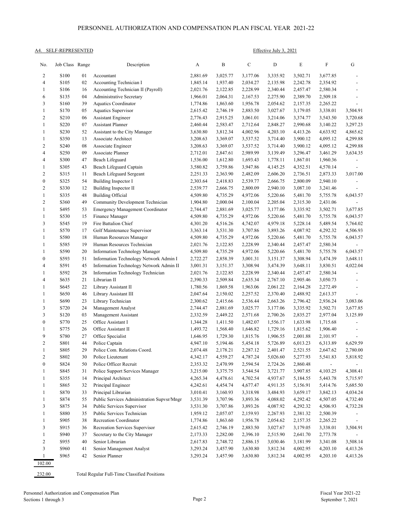#### PERSONNEL AUTHORIZATION AND COMPENSATION PLAN FISCAL YEAR 2021-22

#### A4. SELF-REPRESENTED Effective July 3, 2021

| No.               | Job Class Range  |          | Description                                | A                    | B                    | $\mathsf{C}$         | $\mathbf D$          | E                    | F                        | G                                          |
|-------------------|------------------|----------|--------------------------------------------|----------------------|----------------------|----------------------|----------------------|----------------------|--------------------------|--------------------------------------------|
| 2                 | S <sub>100</sub> | 01       | Accountant                                 | 2,881.69             | 3,025.77             | 3,177.06             | 3,335.92             | 3,502.71             | 3,677.85                 |                                            |
| 4                 | S105             | 02       | Accounting Technician I                    | 1,845.14             | 1,937.40             | 2,034.27             | 2,135.98             | 2,242.78             | 2,354.92                 | $\overline{a}$                             |
| 1                 | S <sub>106</sub> | 16       | Accounting Technician II (Payroll)         | 2,021.76             | 2,122.85             | 2,228.99             | 2,340.44             | 2,457.47             | 2,580.34                 | $\overline{\phantom{0}}$                   |
| 6                 | S <sub>135</sub> | 04       | Administrative Secretary                   | 1,966.01             | 2,064.31             | 2,167.53             | 2,275.90             | 2,389.70             | 2,509.18                 | $\overline{\phantom{0}}$                   |
| 3                 | S160             | 39       | Aquatics Coordinator                       | 1,774.86             | 1,863.60             | 1,956.78             | 2,054.62             | 2,157.35             | 2,265.22                 | $\overline{\phantom{0}}$                   |
| $\mathbf{1}$      | S170             | 05       | Aquatics Supervisor                        | 2,615.42             | 2,746.19             | 2,883.50             | 3,027.67             | 3,179.05             | 3,338.01                 | 3,504.91                                   |
| $\overline{2}$    | S210             | 06       | <b>Assistant Engineer</b>                  | 2,776.43             | 2,915.25             | 3,061.01             | 3,214.06             | 3,374.77             | 3,543.50                 | 3,720.68                                   |
| $\mathbf{1}$      | S220             | 07       | <b>Assistant Planner</b>                   | 2,460.44             | 2,583.47             | 2,712.64             | 2,848.27             | 2,990.68             | 3,140.22                 | 3,297.23                                   |
| 1                 | S <sub>230</sub> | 52       | Assistant to the City Manager              | 3,630.80             | 3,812.34             | 4,002.96             | 4,203.10             | 4,413.26             | 4,633.92                 | 4,865.62                                   |
| 1                 | S350             | 13       | Associate Architect                        | 3,208.63             | 3,369.07             | 3,537.52             | 3,714.40             | 3,900.12             | 4,095.12                 | 4,299.88                                   |
| $\overline{c}$    | S <sub>240</sub> | 08       | Associate Engineer                         | 3,208.63             | 3,369.07             | 3,537.52             | 3,714.40             | 3,900.12             | 4,095.12                 | 4,299.88                                   |
| 4                 | S <sub>250</sub> | 09       | Associate Planner                          | 2,712.01             | 2,847.61             | 2,989.99             | 3,139.49             | 3,296.47             | 3,461.29                 | 3,634.35                                   |
| 4                 | S300             | 47       | Beach Lifeguard                            | 1,536.00             | 1,612.80             | 1,693.43             | 1,778.11             | 1,867.01             | 1,960.36                 |                                            |
| $\mathbf{1}$      | S305             | 43       | Beach Lifeguard Captain                    | 3,580.82             | 3,759.86             | 3,947.86             | 4,145.25             | 4,352.51             | 4,570.14                 |                                            |
| $\overline{c}$    | S315             | 11       | Beach Lifeguard Sergeant                   | 2,251.33             | 2,363.90             | 2,482.09             | 2,606.20             | 2,736.51             | 2,873.33                 | 3,017.00                                   |
| $\boldsymbol{0}$  | S325             | 54       | Building Inspector I                       | 2,303.64             | 2,418.83             | 2,539.77             | 2,666.75             | 2,800.09             | 2,940.10                 |                                            |
| $\overline{c}$    | S330             | 12       | Building Inspector II                      | 2,539.77             | 2,666.75             | 2,800.09             | 2,940.10             | 3,087.10             | 3,241.46                 | $\overline{a}$                             |
| $\mathbf{1}$      | S335             | 48       | <b>Building Official</b>                   | 4,509.80             | 4,735.29             | 4,972.06             | 5,220.66             | 5,481.70             | 5,755.78                 | 6,043.57                                   |
| $\overline{c}$    | S360             | 49       | Community Development Technician           | 1,904.80             | 2,000.04             | 2,100.04             | 2,205.04             | 2,315.30             | 2,431.06                 |                                            |
| $\mathbf{1}$      | S495             | 53       | <b>Emergency Management Coordinator</b>    | 2,744.47             | 2,881.69             | 3,025.77             | 3,177.06             | 3,335.92             | 3,502.71                 | 3,677.85                                   |
| $\mathbf{1}$      | S530             | 15       | Finance Manager                            | 4,509.80             | 4,735.29             | 4,972.06             | 5,220.66             | 5,481.70             | 5,755.78                 | 6,043.57                                   |
| 3                 | S545             | 19       | Fire Battalion Chief                       | 4,301.20             | 4,516.26             | 4,742.07             | 4,979.18             | 5,228.14             | 5,489.54                 | 5,764.02                                   |
| $\mathbf{1}$      | S570             | 17       | Golf Maintenance Supervisor                | 3,363.14             | 3,531.30             | 3,707.86             | 3,893.26             | 4,087.92             | 4,292.32                 | 4,506.93                                   |
| $\mathbf{1}$      | S580             | 18       | Human Resources Manager                    | 4,509.80             | 4,735.29             | 4,972.06             | 5,220.66             | 5,481.70             | 5,755.78                 | 6,043.57                                   |
| 1                 | S585             | 19       | Human Resources Technician                 | 2,021.76             | 2,122.85             | 2,228.99             | 2,340.44             | 2,457.47             | 2,580.34                 |                                            |
| $\mathbf{1}$      | S590             | 20       | Information Technology Manager             | 4,509.80             | 4,735.29             | 4,972.06             | 5,220.66             | 5,481.70             | 5,755.78                 | 6,043.57                                   |
| $\boldsymbol{0}$  | S593             | 51       | Information Technology Network Admin I     | 2,722.27             | 2,858.39             | 3,001.31             | 3,151.37             | 3,308.94             | 3,474.39                 | 3,648.11                                   |
| 4                 | S591             | 45       | Information Technology Network Admin II    | 3,001.31             | 3,151.37             | 3,308.94             | 3,474.39             | 3,648.11             | 3,830.51                 | 4,022.04                                   |
| $\mathbf{1}$      | S592             | 28       | Information Technology Technician          | 2,021.76             | 2,122.85             | 2,228.99             | 2,340.44             | 2,457.47             | 2,580.34                 | $\overline{\phantom{0}}$                   |
| 4<br>$\mathbf{1}$ | S635<br>S645     | 21<br>22 | Librarian II<br>Library Assistant II       | 2,390.33<br>1,780.56 | 2,509.84             | 2,635.34             | 2,767.10             | 2,905.46             | 3,050.73<br>2,272.49     | $\overline{\phantom{0}}$<br>$\overline{a}$ |
| 1                 | S650             | 46       | Library Assistant III                      | 2,047.64             | 1,869.58             | 1,963.06             | 2,061.22             | 2,164.28             |                          | $\overline{\phantom{0}}$                   |
| $\mathbf{1}$      | S690             | 23       | Library Technician                         | 2,300.62             | 2,150.02<br>2,415.66 | 2,257.52<br>2,536.44 | 2,370.40<br>2,663.26 | 2,488.92<br>2,796.42 | 2,613.37<br>2,936.24     | 3,083.06                                   |
| 3                 | S720             | 24       | Management Analyst                         | 2,744.47             | 2,881.69             | 3,025.77             | 3,177.06             | 3,335.92             | 3,502.71                 | 3,677.85                                   |
| 3                 | S120             | 03       | Management Assistant                       | 2,332.59             | 2,449.22             | 2,571.68             | 2,700.26             | 2,835.27             | 2,977.04                 | 3,125.89                                   |
| $\boldsymbol{0}$  | S770             | 25       | Office Assistant I                         | 1,344.28             | 1,411.50             | 1,482.07             | 1,556.17             | 1,633.98             | 1,715.68                 |                                            |
| 1                 | S775             | 26       | Office Assistant II                        | 1,493.72             | 1,568.40             | 1,646.82             | 1,729.16             | 1,815.62             | 1,906.40                 | $\overline{\phantom{a}}$                   |
| 9                 | S780             | 27       | Office Specialist                          | 1,646.95             | 1,729.30             | 1,815.76             | 1,906.55             | 2,001.88             | 2,101.97                 |                                            |
| $\overline{2}$    | S801             | 44       | Police Captain                             | 4,947.10             | 5,194.46             | 5,454.18             | 5,726.89             | 6,013.23             | 6,313.89                 | 6,629.59                                   |
| $\mathbf{1}$      | S805             | 29       | Police Com. Relations Coord.               | 2,074.48             | 2,178.21             | 2,287.12             | 2,401.47             | 2,521.55             | 2,647.62                 | 2,780.00                                   |
| $\sqrt{2}$        | S802             | 30       | Police Lieutenant                          | 4,342.17             | 4,559.27             | 4,787.24             | 5,026.60             | 5,277.93             | 5,541.83                 | 5,818.92                                   |
| $\boldsymbol{0}$  | S824             | 50       | Police Officer Recruit                     | 2,353.32             | 2,470.99             | 2,594.54             | 2,724.26             | 2,860.48             | $\overline{\phantom{0}}$ |                                            |
| $\mathbf{1}$      | S845             | 31       | Police Support Services Manager            | 3,215.00             | 3,375.75             | 3,544.54             | 3,721.77             | 3,907.85             | 4,103.25                 | 4,308.41                                   |
| $\mathbf{1}$      | S355             | 14       | Principal Architect                        | 4,265.34             | 4,478.61             | 4,702.54             | 4,937.67             | 5,184.55             | 5,443.78                 | 5,715.97                                   |
| $\mathbf{1}$      | S865             | 32       | Principal Engineer                         | 4,242.61             | 4,454.74             | 4,677.47             | 4,911.35             | 5,156.91             | 5,414.76                 | 5,685.50                                   |
| $\mathbf{1}$      | S870             | 33       | Principal Librarian                        | 3,010.41             | 3,160.93             | 3,318.98             | 3,484.93             | 3,659.17             | 3,842.13                 | 4,034.24                                   |
| $\mathbf{1}$      | S874             | 55       | Public Services Administration Supvsr/Mngr | 3,531.39             | 3,707.96             | 3,893.36             | 4,088.02             | 4,292.42             | 4,507.05                 | 4,732.40                                   |
| 3                 | S875             | 34       | Public Services Supervisor                 | 3,531.30             | 3,707.86             | 3,893.26             | 4,087.92             | 4,292.32             | 4,506.93                 | 4,732.28                                   |
| $\mathbf{1}$      | S880             | 35       | Public Services Technician                 | 1,959.12             | 2,057.07             | 2,159.93             | 2,267.93             | 2,381.32             | 2,500.39                 |                                            |
| $\mathbf{1}$      | S905             | 38       | Recreation Coordinator                     | 1,774.86             | 1,863.60             | 1,956.78             | 2,054.62             | 2,157.35             | 2,265.22                 | $\overline{\phantom{a}}$                   |
| 3                 | S915             | 36       | Recreation Services Supervisor             | 2,615.42             | 2,746.19             | 2,883.50             | 3,027.67             | 3,179.05             | 3,338.01                 | 3,504.91                                   |
| $\mathbf{1}$      | S940             | 37       | Secretary to the City Manager              | 2,173.33             | 2,282.00             | 2,396.10             | 2,515.90             | 2,641.70             | 2,773.78                 | $\overline{\phantom{0}}$                   |
| $\overline{c}$    | S955             | 40       | Senior Librarian                           | 2,617.83             | 2,748.72             | 2,886.15             | 3,030.46             | 3,181.99             | 3,341.08                 | 3,508.14                                   |
| $\mathfrak{Z}$    | S960             | 41       | Senior Management Analyst                  | 3,293.24             | 3,457.90             | 3,630.80             | 3,812.34             | 4,002.95             | 4,203.10                 | 4,413.26                                   |
| 1                 | S965             | 42       | Senior Planner                             | 3,293.24             | 3,457.90             | 3,630.80             | 3,812.34             | 4,002.95             | 4,203.10                 | 4,413.26                                   |

102.00

232.00 Total Regular Full-Time Classified Positions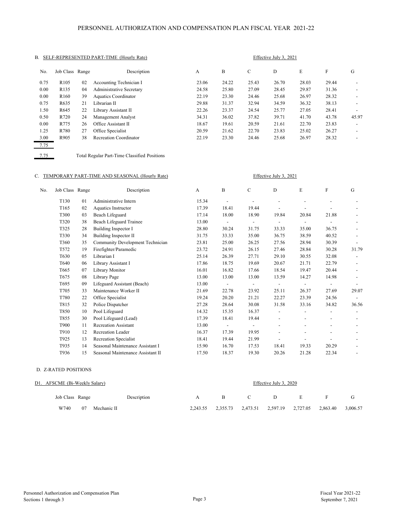#### PERSONNEL AUTHORIZATION AND COMPENSATION PLAN FISCAL YEAR 2021-22

| В.   |                  |    | SELF-REPRESENTED PART-TIME (Hourly Rate) | Effective July 3, 2021 |       |       |       |       |       |                          |  |
|------|------------------|----|------------------------------------------|------------------------|-------|-------|-------|-------|-------|--------------------------|--|
| No.  | Job Class Range  |    | Description                              | А                      | B     | C     | D     | E     | F     | G                        |  |
| 0.75 | R <sub>105</sub> | 02 | Accounting Technician I                  | 23.06                  | 24.22 | 25.43 | 26.70 | 28.03 | 29.44 |                          |  |
| 0.00 | R <sub>135</sub> | 04 | Administrative Secretary                 | 24.58                  | 25.80 | 27.09 | 28.45 | 29.87 | 31.36 | $\overline{\phantom{a}}$ |  |
| 0.00 | R <sub>160</sub> | 39 | <b>Aquatics Coordinator</b>              | 22.19                  | 23.30 | 24.46 | 25.68 | 26.97 | 28.32 |                          |  |
| 0.75 | R635             | 21 | Librarian II                             | 29.88                  | 31.37 | 32.94 | 34.59 | 36.32 | 38.13 | ۰                        |  |
| 1.50 | R645             | 22 | Library Assistant II                     | 22.26                  | 23.37 | 24.54 | 25.77 | 27.05 | 28.41 | $\overline{\phantom{a}}$ |  |
| 0.50 | R720             | 24 | Management Analyst                       | 34.31                  | 36.02 | 37.82 | 39.71 | 41.70 | 43.78 | 45.97                    |  |
| 0.00 | R775             | 26 | Office Assistant II                      | 18.67                  | 19.61 | 20.59 | 21.61 | 22.70 | 23.83 |                          |  |
| 1.25 | R780             | 27 | Office Specialist                        | 20.59                  | 21.62 | 22.70 | 23.83 | 25.02 | 26.27 | $\overline{\phantom{0}}$ |  |
| 3.00 | R905             | 38 | Recreation Coordinator                   | 22.19                  | 23.30 | 24.46 | 25.68 | 26.97 | 28.32 | $\overline{\phantom{a}}$ |  |
| 7.75 |                  |    |                                          |                        |       |       |       |       |       |                          |  |

7.75 Total Regular Part-Time Classified Positions

#### C. TEMPORARY PART-TIME AND SEASONAL (Hourly Rate) Effective July 3, 2021

| No. | Job Class Range  |    | Description                       | A     | B     | C     | D     | E     | F     | G     |
|-----|------------------|----|-----------------------------------|-------|-------|-------|-------|-------|-------|-------|
|     | T <sub>130</sub> | 01 | Administrative Intern             | 15.34 |       |       |       |       |       |       |
|     | T <sub>165</sub> | 02 | Aquatics Instructor               | 17.39 | 18.41 | 19.44 |       |       |       |       |
|     | T300             | 03 | Beach Lifeguard                   | 17.14 | 18.00 | 18.90 | 19.84 | 20.84 | 21.88 |       |
|     | T320             | 38 | Beach Lifeguard Trainee           | 13.00 |       |       |       |       |       |       |
|     | T325             | 28 | Building Inspector I              | 28.80 | 30.24 | 31.75 | 33.33 | 35.00 | 36.75 |       |
|     | T330             | 34 | Building Inspector II             | 31.75 | 33.33 | 35.00 | 36.75 | 38.59 | 40.52 |       |
|     | T360             | 35 | Community Development Technician  | 23.81 | 25.00 | 26.25 | 27.56 | 28.94 | 30.39 |       |
|     | T572             | 19 | Firefighter/Paramedic             | 23.72 | 24.91 | 26.15 | 27.46 | 28.84 | 30.28 | 31.79 |
|     | T630             | 05 | Librarian I                       | 25.14 | 26.39 | 27.71 | 29.10 | 30.55 | 32.08 |       |
|     | T640             | 06 | Library Assistant I               | 17.86 | 18.75 | 19.69 | 20.67 | 21.71 | 22.79 |       |
|     | T665             | 07 | Library Monitor                   | 16.01 | 16.82 | 17.66 | 18.54 | 19.47 | 20.44 |       |
|     | T675             | 08 | Library Page                      | 13.00 | 13.00 | 13.00 | 13.59 | 14.27 | 14.98 |       |
|     | T695             | 09 | Lifeguard Assistant (Beach)       | 13.00 |       |       |       |       |       |       |
|     | T705             | 33 | Maintenance Worker II             | 21.69 | 22.78 | 23.92 | 25.11 | 26.37 | 27.69 | 29.07 |
|     | T780             | 22 | Office Specialist                 | 19.24 | 20.20 | 21.21 | 22.27 | 23.39 | 24.56 |       |
|     | T815             | 32 | Police Dispatcher                 | 27.28 | 28.64 | 30.08 | 31.58 | 33.16 | 34.82 | 36.56 |
|     | T850             | 10 | Pool Lifeguard                    | 14.32 | 15.35 | 16.37 |       |       |       |       |
|     | T855             | 30 | Pool Lifeguard (Lead)             | 17.39 | 18.41 | 19.44 |       |       |       |       |
|     | T900             | 11 | <b>Recreation Assistant</b>       | 13.00 |       |       |       |       |       |       |
|     | T910             | 12 | <b>Recreation Leader</b>          | 16.37 | 17.39 | 19.95 |       |       |       |       |
|     | T925             | 13 | Recreation Specialist             | 18.41 | 19.44 | 21.99 |       |       |       |       |
|     | T935             | 14 | Seasonal Maintenance Assistant I  | 15.90 | 16.70 | 17.53 | 18.41 | 19.33 | 20.29 |       |
|     | T936             | 15 | Seasonal Maintenance Assistant II | 17.50 | 18.37 | 19.30 | 20.26 | 21.28 | 22.34 |       |

#### D. Z-RATED POSITIONS

| D1. AFSCME (Bi-Weekly Salary) |             |   |              |              | Effective July 3, 2020 |                                                       |          |
|-------------------------------|-------------|---|--------------|--------------|------------------------|-------------------------------------------------------|----------|
| Job Class Range               | Description | A | $\mathbf{R}$ | $\mathbf{C}$ | D                      | E                                                     |          |
| W740<br>Mechanic II<br>07     |             |   |              |              |                        | 2.243.55 2.355.73 2.473.51 2.597.19 2.727.05 2.863.40 | 3,006.57 |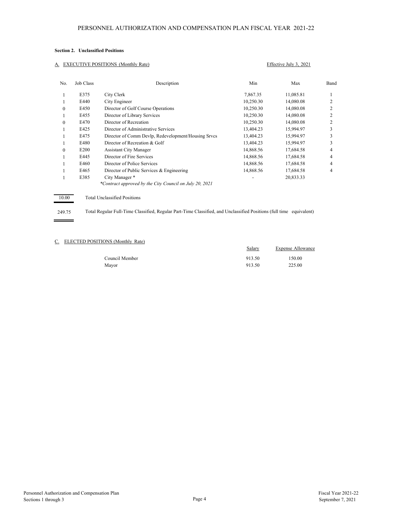#### **Section 2. Unclassified Positions**

#### A. EXECUTIVE POSITIONS (Monthly Rate) Effective July 3, 2021

| No.      | Job Class        | Description                                             | Min       | Max       | Band |
|----------|------------------|---------------------------------------------------------|-----------|-----------|------|
|          | E375             | City Clerk                                              | 7,867.35  | 11,085.81 |      |
|          | E440             | City Engineer                                           | 10,250.30 | 14,080.08 |      |
| $\Omega$ | E450             | Director of Golf Course Operations                      | 10.250.30 | 14,080.08 |      |
|          | E455             | Director of Library Services                            | 10,250.30 | 14,080.08 |      |
| $\Omega$ | E470             | Director of Recreation                                  | 10,250.30 | 14,080.08 |      |
|          | E425             | Director of Administrative Services                     | 13,404.23 | 15,994.97 | 3    |
|          | E475             | Director of Comm Devlp, Redevelopment/Housing Srvcs     | 13,404.23 | 15,994.97 |      |
|          | E480             | Director of Recreation & Golf                           | 13,404.23 | 15,994.97 | 3    |
| $\Omega$ | E <sub>200</sub> | <b>Assistant City Manager</b>                           | 14,868.56 | 17,684.58 | 4    |
|          | F445             | Director of Fire Services                               | 14,868.56 | 17,684.58 | 4    |
|          | E460             | Director of Police Services                             | 14,868.56 | 17,684.58 | 4    |
|          | E465             | Director of Public Services & Engineering               | 14,868.56 | 17,684.58 | 4    |
|          | E385             | City Manager *                                          |           | 20,833.33 |      |
|          |                  | *Contract approved by the City Council on July 20, 2021 |           |           |      |
| 10.00    |                  | <b>Total Unclassified Positions</b>                     |           |           |      |

#### 249.75 þ,

 $\overline{a}$ 

Total Regular Full-Time Classified, Regular Part-Time Classified, and Unclassified Positions (full time equivalent)

#### C. ELECTED POSITIONS (Monthly Rate)

|                | Salary | Expense Allowance |
|----------------|--------|-------------------|
| Council Member | 913.50 | 150.00            |
| Mayor          | 913.50 | 225.00            |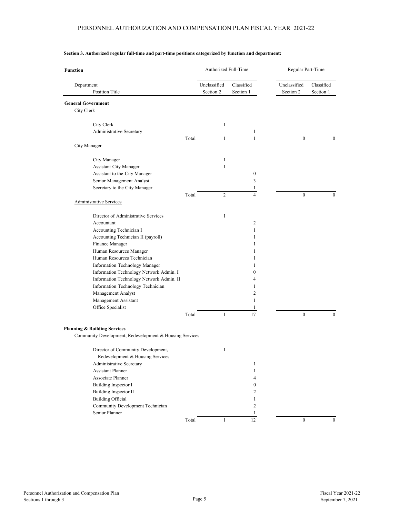| <b>Function</b>                                                                                    |       | Authorized Full-Time      |                         | Regular Part-Time         |                         |
|----------------------------------------------------------------------------------------------------|-------|---------------------------|-------------------------|---------------------------|-------------------------|
| Department<br>Position Title                                                                       |       | Unclassified<br>Section 2 | Classified<br>Section 1 | Unclassified<br>Section 2 | Classified<br>Section 1 |
| <b>General Government</b>                                                                          |       |                           |                         |                           |                         |
| <b>City Clerk</b>                                                                                  |       |                           |                         |                           |                         |
| City Clerk                                                                                         |       | $\mathbf{1}$              |                         |                           |                         |
| Administrative Secretary                                                                           |       |                           | $\mathbf{1}$            |                           |                         |
|                                                                                                    | Total | $\mathbf{1}$              | $\mathbf{1}$            | $\mathbf{0}$              | $\mathbf{0}$            |
| <b>City Manager</b>                                                                                |       |                           |                         |                           |                         |
|                                                                                                    |       |                           |                         |                           |                         |
| City Manager                                                                                       |       | $\mathbf{1}$              |                         |                           |                         |
| Assistant City Manager                                                                             |       | $\mathbf{1}$              |                         |                           |                         |
| Assistant to the City Manager                                                                      |       |                           | $\boldsymbol{0}$        |                           |                         |
| Senior Management Analyst                                                                          |       |                           | 3                       |                           |                         |
| Secretary to the City Manager                                                                      |       |                           | 1                       |                           |                         |
| <b>Administrative Services</b>                                                                     | Total | $\overline{c}$            | $\overline{4}$          | $\mathbf{0}$              | $\mathbf{0}$            |
|                                                                                                    |       |                           |                         |                           |                         |
| Director of Administrative Services                                                                |       | $\mathbf{1}$              |                         |                           |                         |
| Accountant                                                                                         |       |                           | 2                       |                           |                         |
| Accounting Technician I                                                                            |       |                           | $\mathbf{1}$            |                           |                         |
| Accounting Technician II (payroll)                                                                 |       |                           | 1                       |                           |                         |
| Finance Manager                                                                                    |       |                           | 1                       |                           |                         |
| Human Resources Manager                                                                            |       |                           | $\mathbf{1}$            |                           |                         |
| Human Resources Technician                                                                         |       |                           | 1                       |                           |                         |
| Information Technology Manager                                                                     |       |                           | 1                       |                           |                         |
| Information Technology Network Admin. I                                                            |       |                           | $\mathbf{0}$            |                           |                         |
| Information Technology Network Admin. II                                                           |       |                           | 4                       |                           |                         |
| Information Technology Technician                                                                  |       |                           | 1                       |                           |                         |
| Management Analyst                                                                                 |       |                           | $\overline{c}$          |                           |                         |
| Management Assistant                                                                               |       |                           | 1                       |                           |                         |
| Office Specialist                                                                                  | Total | 1                         | $\mathbf{1}$<br>17      | $\mathbf{0}$              | $\mathbf{0}$            |
|                                                                                                    |       |                           |                         |                           |                         |
| <b>Planning &amp; Building Services</b><br>Community Development, Redevelopment & Housing Services |       |                           |                         |                           |                         |
|                                                                                                    |       |                           |                         |                           |                         |
| Director of Community Development,                                                                 |       | $\mathbf{1}$              |                         |                           |                         |
| Redevelopment & Housing Services                                                                   |       |                           |                         |                           |                         |
| Administrative Secretary                                                                           |       |                           | 1                       |                           |                         |
| <b>Assistant Planner</b>                                                                           |       |                           | $\mathbf{1}$            |                           |                         |
| Associate Planner                                                                                  |       |                           | 4                       |                           |                         |
| Building Inspector I                                                                               |       |                           | $\boldsymbol{0}$        |                           |                         |
| Building Inspector II                                                                              |       |                           | 2                       |                           |                         |
| <b>Building Official</b>                                                                           |       |                           | $\mathbf{1}$            |                           |                         |
| Community Development Technician                                                                   |       |                           | $\overline{c}$          |                           |                         |
| Senior Planner                                                                                     |       |                           | $\mathbf{1}$            |                           |                         |
|                                                                                                    | Total | $\mathbf{1}$              | 12                      | $\bf{0}$                  | $\mathbf{0}$            |

#### **Section 3. Authorized regular full-time and part-time positions categorized by function and department:**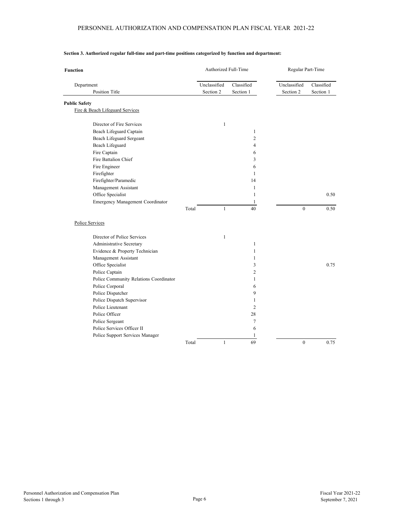| <b>Function</b>                        | Authorized Full-Time |              |                | Regular Part-Time |              |            |
|----------------------------------------|----------------------|--------------|----------------|-------------------|--------------|------------|
| Department                             |                      | Unclassified | Classified     | Unclassified      |              | Classified |
| <b>Position Title</b>                  |                      | Section 2    | Section 1      | Section 2         |              | Section 1  |
| <b>Public Safety</b>                   |                      |              |                |                   |              |            |
| Fire & Beach Lifeguard Services        |                      |              |                |                   |              |            |
| Director of Fire Services              |                      | $\mathbf{1}$ |                |                   |              |            |
| Beach Lifeguard Captain                |                      |              | $\mathbf{1}$   |                   |              |            |
| Beach Lifeguard Sergeant               |                      |              | $\overline{2}$ |                   |              |            |
| Beach Lifeguard                        |                      |              | $\overline{4}$ |                   |              |            |
| Fire Captain                           |                      |              | 6              |                   |              |            |
| Fire Battalion Chief                   |                      |              | 3              |                   |              |            |
| Fire Engineer                          |                      |              | 6              |                   |              |            |
| Firefighter                            |                      |              | $\mathbf{1}$   |                   |              |            |
| Firefighter/Paramedic                  |                      |              | 14             |                   |              |            |
| Management Assistant                   |                      |              | 1              |                   |              |            |
| Office Specialist                      |                      |              | $\mathbf{1}$   |                   |              | 0.50       |
| Emergency Management Coordinator       |                      |              | 1              |                   |              |            |
|                                        | Total                | $\mathbf{1}$ | 40             |                   | $\mathbf{0}$ | 0.50       |
| Police Services                        |                      |              |                |                   |              |            |
| Director of Police Services            |                      | $\mathbf{1}$ |                |                   |              |            |
| Administrative Secretary               |                      |              | $\mathbf{1}$   |                   |              |            |
| Evidence & Property Technician         |                      |              | 1              |                   |              |            |
| Management Assistant                   |                      |              | 1              |                   |              |            |
| Office Specialist                      |                      |              | 3              |                   |              | 0.75       |
| Police Captain                         |                      |              | 2              |                   |              |            |
| Police Community Relations Coordinator |                      |              | 1              |                   |              |            |
| Police Corporal                        |                      |              | 6              |                   |              |            |
| Police Dispatcher                      |                      |              | 9              |                   |              |            |
| Police Dispatch Supervisor             |                      |              | 1              |                   |              |            |
| Police Lieutenant                      |                      |              | $\overline{2}$ |                   |              |            |
| Police Officer                         |                      |              | 28             |                   |              |            |
| Police Sergeant                        |                      |              | 7              |                   |              |            |
| Police Services Officer II             |                      |              | 6              |                   |              |            |
| Police Support Services Manager        |                      |              | 1              |                   |              |            |
|                                        | Total                | $\mathbf{1}$ | 69             |                   | $\mathbf{0}$ | 0.75       |

#### **Section 3. Authorized regular full-time and part-time positions categorized by function and department:**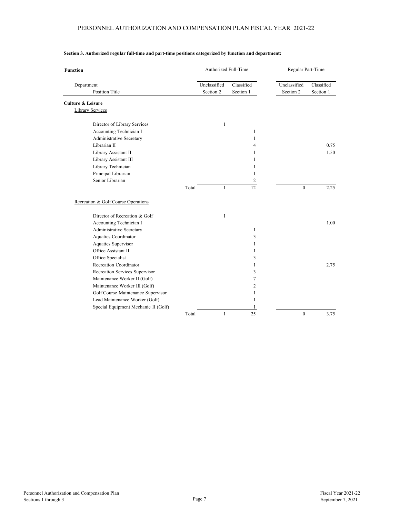#### PERSONNEL AUTHORIZATION AND COMPENSATION PLAN FISCAL YEAR 2021-22

| <b>Function</b>                      | Authorized Full-Time |              | Regular Part-Time |              |            |
|--------------------------------------|----------------------|--------------|-------------------|--------------|------------|
| Department                           | Unclassified         |              | Classified        | Unclassified | Classified |
| <b>Position Title</b>                |                      | Section 2    | Section 1         | Section 2    | Section 1  |
| <b>Culture &amp; Leisure</b>         |                      |              |                   |              |            |
| <b>Library Services</b>              |                      |              |                   |              |            |
| Director of Library Services         |                      | $\mathbf{1}$ |                   |              |            |
| Accounting Technician I              |                      |              | 1                 |              |            |
| Administrative Secretary             |                      |              | $\mathbf{1}$      |              |            |
| Librarian II                         |                      |              | $\overline{4}$    |              | 0.75       |
| Library Assistant II                 |                      |              | $\mathbf{1}$      |              | 1.50       |
| Library Assistant III                |                      |              | $\mathbf{1}$      |              |            |
| Library Technician                   |                      |              | 1                 |              |            |
| Principal Librarian                  |                      |              | 1                 |              |            |
| Senior Librarian                     |                      |              | $\overline{2}$    |              |            |
|                                      | Total                | $\mathbf{1}$ | 12                | $\mathbf{0}$ | 2.25       |
| Recreation & Golf Course Operations  |                      |              |                   |              |            |
| Director of Recreation & Golf        |                      | $\mathbf{1}$ |                   |              |            |
| Accounting Technician I              |                      |              |                   |              | 1.00       |
| Administrative Secretary             |                      |              | $\mathbf{1}$      |              |            |
| Aquatics Coordinator                 |                      |              | 3                 |              |            |
| Aquatics Supervisor                  |                      |              | 1                 |              |            |
| Office Assistant II                  |                      |              | 1                 |              |            |
| Office Specialist                    |                      |              | 3                 |              |            |
| Recreation Coordinator               |                      |              | $\mathbf{1}$      |              | 2.75       |
| Recreation Services Supervisor       |                      |              | 3                 |              |            |
| Maintenance Worker II (Golf)         |                      |              | $\tau$            |              |            |
| Maintenance Worker III (Golf)        |                      |              | $\overline{c}$    |              |            |
| Golf Course Maintenance Supervisor   |                      |              | 1                 |              |            |
| Lead Maintenance Worker (Golf)       |                      |              | 1                 |              |            |
| Special Equipment Mechanic II (Golf) |                      |              | 1                 |              |            |
|                                      | Total                | $\mathbf{1}$ | 25                | $\mathbf{0}$ | 3.75       |

#### **Section 3. Authorized regular full-time and part-time positions categorized by function and department:**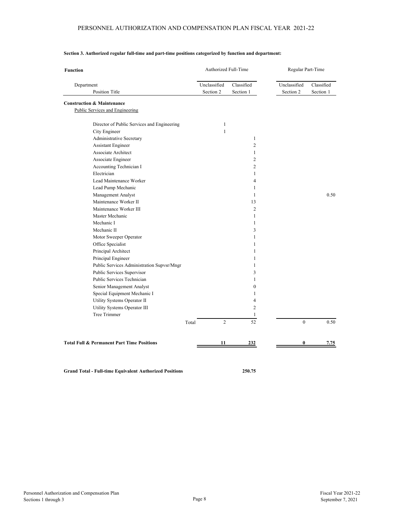| <b>Function</b> |                                                                          | Authorized Full-Time |                           |                         | Regular Part-Time        |                           |                         |
|-----------------|--------------------------------------------------------------------------|----------------------|---------------------------|-------------------------|--------------------------|---------------------------|-------------------------|
| Department      | Position Title                                                           |                      | Unclassified<br>Section 2 | Classified<br>Section 1 |                          | Unclassified<br>Section 2 | Classified<br>Section 1 |
|                 | <b>Construction &amp; Maintenance</b><br>Public Services and Engineering |                      |                           |                         |                          |                           |                         |
|                 | Director of Public Services and Engineering                              |                      | $\mathbf{1}$              |                         |                          |                           |                         |
|                 | City Engineer                                                            |                      | 1                         |                         |                          |                           |                         |
|                 | Administrative Secretary                                                 |                      |                           |                         | $\mathbf{1}$             |                           |                         |
|                 | <b>Assistant Engineer</b>                                                |                      |                           |                         | $\overline{2}$           |                           |                         |
|                 | Associate Architect                                                      |                      |                           |                         | $\mathbf{1}$             |                           |                         |
|                 | Associate Engineer                                                       |                      |                           |                         | 2                        |                           |                         |
|                 | Accounting Technician I                                                  |                      |                           |                         | $\overline{c}$           |                           |                         |
|                 | Electrician                                                              |                      |                           |                         | $\mathbf{1}$             |                           |                         |
|                 | Lead Maintenance Worker                                                  |                      |                           |                         | $\overline{\mathcal{L}}$ |                           |                         |
|                 | Lead Pump Mechanic                                                       |                      |                           |                         | 1                        |                           |                         |
|                 | Management Analyst                                                       |                      |                           |                         | $\mathbf{1}$             |                           | 0.50                    |
|                 | Maintenance Worker II                                                    |                      |                           |                         | 13                       |                           |                         |
|                 | Maintenance Worker III                                                   |                      |                           |                         | $\overline{c}$           |                           |                         |
|                 | Master Mechanic                                                          |                      |                           |                         | $\mathbf{1}$             |                           |                         |
|                 | Mechanic I                                                               |                      |                           |                         | $\mathbf{1}$             |                           |                         |
|                 | Mechanic II                                                              |                      |                           |                         | 3                        |                           |                         |
|                 | Motor Sweeper Operator                                                   |                      |                           |                         | $\mathbf{1}$             |                           |                         |
|                 | Office Specialist                                                        |                      |                           |                         | 1                        |                           |                         |
|                 | Principal Architect                                                      |                      |                           |                         | $\mathbf{1}$             |                           |                         |
|                 | Principal Engineer                                                       |                      |                           |                         | $\mathbf{1}$             |                           |                         |
|                 | Public Services Administration Supvsr/Mngr                               |                      |                           |                         | 1                        |                           |                         |
|                 | Public Services Supervisor                                               |                      |                           |                         | 3                        |                           |                         |
|                 | Public Services Technician                                               |                      |                           |                         | $\mathbf{1}$             |                           |                         |
|                 | Senior Management Analyst                                                |                      |                           |                         | $\mathbf{0}$             |                           |                         |
|                 | Special Equipment Mechanic I                                             |                      |                           |                         | $\mathbf{1}$             |                           |                         |
|                 | Utility Systems Operator II                                              |                      |                           |                         | 4                        |                           |                         |
|                 | Utility Systems Operator III                                             |                      |                           |                         | $\overline{2}$           |                           |                         |
|                 | <b>Tree Trimmer</b>                                                      |                      |                           |                         | $\mathbf{1}$             |                           |                         |
|                 |                                                                          | Total                | 2                         |                         | 52                       | $\Omega$                  | 0.50                    |
|                 |                                                                          |                      |                           |                         |                          |                           |                         |
|                 | <b>Total Full &amp; Permanent Part Time Positions</b>                    |                      | 11                        |                         | <u>232</u>               | 0                         | <u>7.75</u>             |

#### **Section 3. Authorized regular full-time and part-time positions categorized by function and department:**

**Grand Total - Full-time Equivalent Authorized Positions 250.75**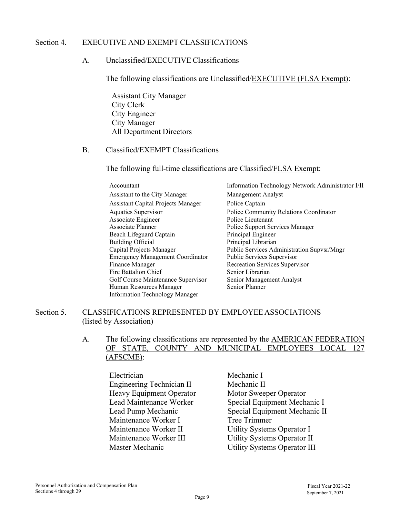#### Section 4. EXECUTIVE AND EXEMPT CLASSIFICATIONS

#### A. Unclassified/EXECUTIVE Classifications

The following classifications are Unclassified/EXECUTIVE (FLSA Exempt):

Assistant City Manager City Clerk City Engineer City Manager All Department Directors

#### B. Classified/EXEMPT Classifications

The following full-time classifications are Classified/FLSA Exempt:

| Accountant                                | Information Technology Network Administrator I/II |
|-------------------------------------------|---------------------------------------------------|
| Assistant to the City Manager             | Management Analyst                                |
| <b>Assistant Capital Projects Manager</b> | Police Captain                                    |
| Aquatics Supervisor                       | Police Community Relations Coordinator            |
| Associate Engineer                        | Police Lieutenant                                 |
| Associate Planner                         | Police Support Services Manager                   |
| Beach Lifeguard Captain                   | Principal Engineer                                |
| Building Official                         | Principal Librarian                               |
| Capital Projects Manager                  | Public Services Administration Supvsr/Mngr        |
| <b>Emergency Management Coordinator</b>   | Public Services Supervisor                        |
| Finance Manager                           | Recreation Services Supervisor                    |
| Fire Battalion Chief                      | Senior Librarian                                  |
| Golf Course Maintenance Supervisor        | Senior Management Analyst                         |
| Human Resources Manager                   | Senior Planner                                    |
| <b>Information Technology Manager</b>     |                                                   |

#### Section 5. CLASSIFICATIONS REPRESENTED BY EMPLOYEE ASSOCIATIONS (listed by Association)

#### A. The following classifications are represented by the AMERICAN FEDERATION OF STATE, COUNTY AND MUNICIPAL EMPLOYEES LOCAL 127 (AFSCME):

Electrician Mechanic I Engineering Technician II Mechanic II Heavy Equipment Operator Motor Sweeper Operator Maintenance Worker I Tree Trimmer Maintenance Worker II Utility Systems Operator I Maintenance Worker III Utility Systems Operator II Master Mechanic Utility Systems Operator III

Lead Maintenance Worker Special Equipment Mechanic I Lead Pump Mechanic Special Equipment Mechanic II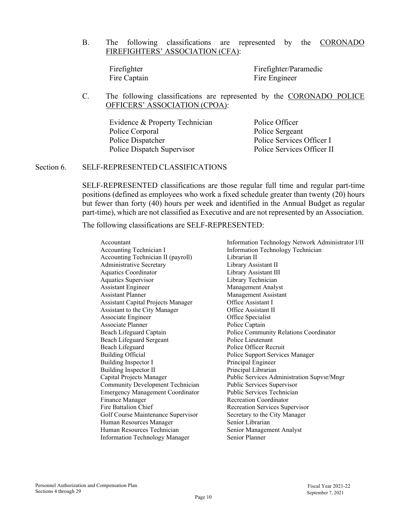B. The following classifications are represented by the CORONADO FIREFIGHTERS' ASSOCIATION (CFA):

Firefighter Firefighter/Paramedic Fire Captain Fire Engineer

C. The following classifications are represented by the CORONADO POLICE OFFICERS' ASSOCIATION (CPOA):

Evidence & Property Technician Police Officer Police Corporal Police Sergeant Police Dispatcher Police Services Officer I Police Dispatch Supervisor Police Services Officer II

#### Section 6. SELF-REPRESENTED CLASSIFICATIONS

SELF-REPRESENTED classifications are those regular full time and regular part-time positions (defined as employees who work a fixed schedule greater than twenty (20) hours but fewer than forty (40) hours per week and identified in the Annual Budget as regular part-time), which are not classified as Executive and are not represented by an Association.

The following classifications are SELF-REPRESENTED:

| Accountant                                | Information Technology Network Administrator I/II |
|-------------------------------------------|---------------------------------------------------|
| Accounting Technician I                   | Information Technology Technician                 |
| Accounting Technician II (payroll)        | Librarian II                                      |
| <b>Administrative Secretary</b>           | Library Assistant II                              |
| <b>Aquatics Coordinator</b>               | Library Assistant III                             |
| Aquatics Supervisor                       | Library Technician                                |
| <b>Assistant Engineer</b>                 | Management Analyst                                |
| <b>Assistant Planner</b>                  | Management Assistant                              |
| <b>Assistant Capital Projects Manager</b> | Office Assistant I                                |
| Assistant to the City Manager             | Office Assistant II                               |
| Associate Engineer                        | Office Specialist                                 |
| Associate Planner                         | Police Captain                                    |
| Beach Lifeguard Captain                   | Police Community Relations Coordinator            |
| Beach Lifeguard Sergeant                  | Police Lieutenant                                 |
| Beach Lifeguard                           | Police Officer Recruit                            |
| <b>Building Official</b>                  | Police Support Services Manager                   |
| Building Inspector I                      | Principal Engineer                                |
| <b>Building Inspector II</b>              | Principal Librarian                               |
| Capital Projects Manager                  | Public Services Administration Supvsr/Mngr        |
| Community Development Technician          | Public Services Supervisor                        |
| <b>Emergency Management Coordinator</b>   | Public Services Technician                        |
| Finance Manager                           | <b>Recreation Coordinator</b>                     |
| Fire Battalion Chief                      | Recreation Services Supervisor                    |
| Golf Course Maintenance Supervisor        | Secretary to the City Manager                     |
| Human Resources Manager                   | Senior Librarian                                  |
| Human Resources Technician                | Senior Management Analyst                         |
| <b>Information Technology Manager</b>     | Senior Planner                                    |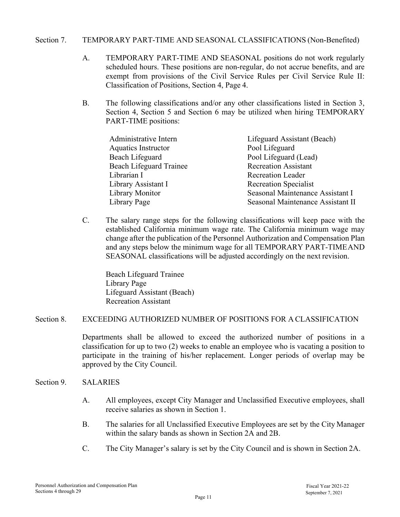#### Section 7. TEMPORARY PART-TIME AND SEASONAL CLASSIFICATIONS (Non-Benefited)

- A. TEMPORARY PART-TIME AND SEASONAL positions do not work regularly scheduled hours. These positions are non-regular, do not accrue benefits, and are exempt from provisions of the Civil Service Rules per Civil Service Rule II: Classification of Positions, Section 4, Page 4.
- B. The following classifications and/or any other classifications listed in Section 3, Section 4, Section 5 and Section 6 may be utilized when hiring TEMPORARY PART-TIME positions:

| Administrative Intern          | Lifeguard Assistant (Beach)       |
|--------------------------------|-----------------------------------|
| <b>Aquatics Instructor</b>     | Pool Lifeguard                    |
| Beach Lifeguard                | Pool Lifeguard (Lead)             |
| <b>Beach Lifeguard Trainee</b> | <b>Recreation Assistant</b>       |
| Librarian I                    | <b>Recreation Leader</b>          |
| Library Assistant I            | <b>Recreation Specialist</b>      |
| Library Monitor                | Seasonal Maintenance Assistant I  |
| Library Page                   | Seasonal Maintenance Assistant II |

C. The salary range steps for the following classifications will keep pace with the established California minimum wage rate. The California minimum wage may change after the publication of the Personnel Authorization and Compensation Plan and any steps below the minimum wage for all TEMPORARY PART-TIME AND SEASONAL classifications will be adjusted accordingly on the next revision.

Beach Lifeguard Trainee Library Page Lifeguard Assistant (Beach) Recreation Assistant

#### Section 8. EXCEEDING AUTHORIZED NUMBER OF POSITIONS FOR A CLASSIFICATION

Departments shall be allowed to exceed the authorized number of positions in a classification for up to two (2) weeks to enable an employee who is vacating a position to participate in the training of his/her replacement. Longer periods of overlap may be approved by the City Council.

#### Section 9. SALARIES

- A. All employees, except City Manager and Unclassified Executive employees, shall receive salaries as shown in Section 1.
- B. The salaries for all Unclassified Executive Employees are set by the City Manager within the salary bands as shown in Section 2A and 2B.
- C. The City Manager's salary is set by the City Council and is shown in Section 2A.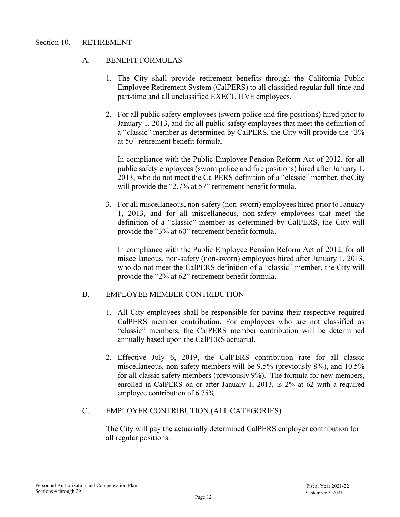#### A. BENEFIT FORMULAS

- 1. The City shall provide retirement benefits through the California Public Employee Retirement System (CalPERS) to all classified regular full-time and part-time and all unclassified EXECUTIVE employees.
- 2. For all public safety employees (sworn police and fire positions) hired prior to January 1, 2013, and for all public safety employees that meet the definition of a "classic" member as determined by CalPERS, the City will provide the "3% at 50" retirement benefit formula.

In compliance with the Public Employee Pension Reform Act of 2012, for all public safety employees (sworn police and fire positions) hired after January 1, 2013, who do not meet the CalPERS definition of a "classic" member, the City will provide the "2.7% at 57" retirement benefit formula.

3. For all miscellaneous, non-safety (non-sworn) employees hired prior to January 1, 2013, and for all miscellaneous, non-safety employees that meet the definition of a "classic" member as determined by CalPERS, the City will provide the "3% at 60" retirement benefit formula.

In compliance with the Public Employee Pension Reform Act of 2012, for all miscellaneous, non-safety (non-sworn) employees hired after January 1, 2013, who do not meet the CalPERS definition of a "classic" member, the City will provide the "2% at 62" retirement benefit formula.

#### B. EMPLOYEE MEMBER CONTRIBUTION

- 1. All City employees shall be responsible for paying their respective required CalPERS member contribution. For employees who are not classified as "classic" members, the CalPERS member contribution will be determined annually based upon the CalPERS actuarial.
- 2. Effective July 6, 2019, the CalPERS contribution rate for all classic miscellaneous, non-safety members will be 9.5% (previously 8%), and 10.5% for all classic safety members (previously 9%). The formula for new members, enrolled in CalPERS on or after January 1, 2013, is 2% at 62 with a required employee contribution of 6.75%.

#### C. EMPLOYER CONTRIBUTION (ALL CATEGORIES)

The City will pay the actuarially determined CalPERS employer contribution for all regular positions.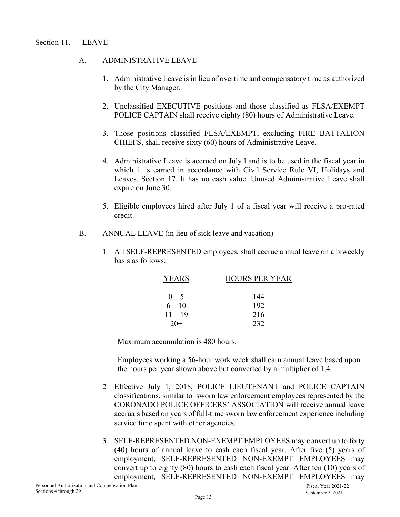#### A. ADMINISTRATIVE LEAVE

- 1. Administrative Leave is in lieu of overtime and compensatory time as authorized by the City Manager.
- 2. Unclassified EXECUTIVE positions and those classified as FLSA/EXEMPT POLICE CAPTAIN shall receive eighty (80) hours of Administrative Leave.
- 3. Those positions classified FLSA/EXEMPT, excluding FIRE BATTALION CHIEFS, shall receive sixty (60) hours of Administrative Leave.
- 4. Administrative Leave is accrued on July l and is to be used in the fiscal year in which it is earned in accordance with Civil Service Rule VI, Holidays and Leaves, Section 17. It has no cash value. Unused Administrative Leave shall expire on June 30.
- 5. Eligible employees hired after July 1 of a fiscal year will receive a pro-rated credit.
- B. ANNUAL LEAVE (in lieu of sick leave and vacation)
	- 1. All SELF-REPRESENTED employees, shall accrue annual leave on a biweekly basis as follows:

| YEARS     | <b>HOURS PER YEAR</b> |
|-----------|-----------------------|
|           |                       |
| $0 - 5$   | 144                   |
| $6 - 10$  | 192                   |
| $11 - 19$ | 216                   |
| $20+$     | 232                   |

Maximum accumulation is 480 hours.

Employees working a 56-hour work week shall earn annual leave based upon the hours per year shown above but converted by a multiplier of 1.4.

- 2. Effective July 1, 2018, POLICE LIEUTENANT and POLICE CAPTAIN classifications, similar to sworn law enforcement employees represented by the CORONADO POLICE OFFICERS' ASSOCIATION will receive annual leave accruals based on years of full-time sworn law enforcement experience including service time spent with other agencies.
- 3. SELF-REPRESENTED NON-EXEMPT EMPLOYEES may convert up to forty (40) hours of annual leave to cash each fiscal year. After five (5) years of employment, SELF-REPRESENTED NON-EXEMPT EMPLOYEES may convert up to eighty (80) hours to cash each fiscal year. After ten (10) years of employment, SELF-REPRESENTED NON-EXEMPT EMPLOYEES may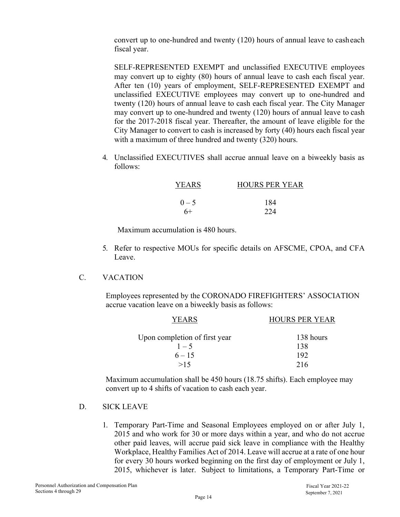convert up to one-hundred and twenty (120) hours of annual leave to cash each fiscal year.

SELF-REPRESENTED EXEMPT and unclassified EXECUTIVE employees may convert up to eighty (80) hours of annual leave to cash each fiscal year. After ten (10) years of employment, SELF-REPRESENTED EXEMPT and unclassified EXECUTIVE employees may convert up to one-hundred and twenty (120) hours of annual leave to cash each fiscal year. The City Manager may convert up to one-hundred and twenty (120) hours of annual leave to cash for the 2017-2018 fiscal year. Thereafter, the amount of leave eligible for the City Manager to convert to cash is increased by forty (40) hours each fiscal year with a maximum of three hundred and twenty (320) hours.

4. Unclassified EXECUTIVES shall accrue annual leave on a biweekly basis as follows:

| <b>YEARS</b> | <b>HOURS PER YEAR</b> |
|--------------|-----------------------|
|              |                       |
| $0 - 5$      | 184                   |
| $6+$         | 224                   |

Maximum accumulation is 480 hours.

- 5. Refer to respective MOUs for specific details on AFSCME, CPOA, and CFA Leave.
- C. VACATION

Employees represented by the CORONADO FIREFIGHTERS' ASSOCIATION accrue vacation leave on a biweekly basis as follows:

| YEARS                         | <b>HOURS PER YEAR</b> |
|-------------------------------|-----------------------|
| Upon completion of first year | 138 hours             |
| $1 - 5$                       | 138                   |
| $6 - 15$                      | 192                   |
| >15                           | 216                   |

Maximum accumulation shall be 450 hours (18.75 shifts). Each employee may convert up to 4 shifts of vacation to cash each year.

### D. SICK LEAVE

1. Temporary Part-Time and Seasonal Employees employed on or after July 1, 2015 and who work for 30 or more days within a year, and who do not accrue other paid leaves, will accrue paid sick leave in compliance with the Healthy Workplace, Healthy Families Act of 2014. Leave will accrue at a rate of one hour for every 30 hours worked beginning on the first day of employment or July 1, 2015, whichever is later. Subject to limitations, a Temporary Part-Time or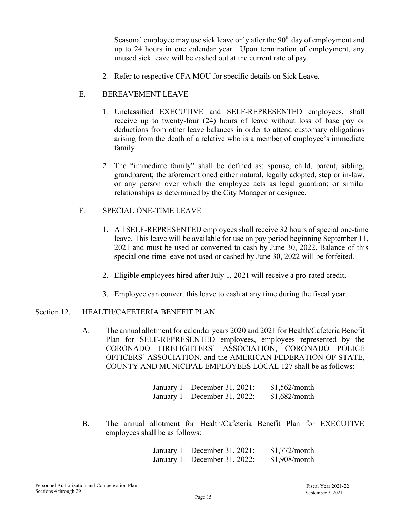Seasonal employee may use sick leave only after the 90<sup>th</sup> day of employment and up to 24 hours in one calendar year. Upon termination of employment, any unused sick leave will be cashed out at the current rate of pay.

2. Refer to respective CFA MOU for specific details on Sick Leave.

### E. BEREAVEMENT LEAVE

- 1. Unclassified EXECUTIVE and SELF-REPRESENTED employees, shall receive up to twenty-four (24) hours of leave without loss of base pay or deductions from other leave balances in order to attend customary obligations arising from the death of a relative who is a member of employee's immediate family.
- 2. The "immediate family" shall be defined as: spouse, child, parent, sibling, grandparent; the aforementioned either natural, legally adopted, step or in-law, or any person over which the employee acts as legal guardian; or similar relationships as determined by the City Manager or designee.

#### F. SPECIAL ONE-TIME LEAVE

- 1. All SELF-REPRESENTED employees shall receive 32 hours of special one-time leave. This leave will be available for use on pay period beginning September 11, 2021 and must be used or converted to cash by June 30, 2022. Balance of this special one-time leave not used or cashed by June 30, 2022 will be forfeited.
- 2. Eligible employees hired after July 1, 2021 will receive a pro-rated credit.
- 3. Employee can convert this leave to cash at any time during the fiscal year.

### Section 12. **HEALTH/CAFETERIA BENEFIT PLAN**

A. The annual allotment for calendar years 2020 and 2021 for Health/Cafeteria Benefit Plan for SELF-REPRESENTED employees, employees represented by the CORONADO FIREFIGHTERS' ASSOCIATION, CORONADO POLICE OFFICERS' ASSOCIATION, and the AMERICAN FEDERATION OF STATE, COUNTY AND MUNICIPAL EMPLOYEES LOCAL 127 shall be as follows:

| January $1 -$ December 31, 2021: | \$1,562/month |
|----------------------------------|---------------|
| January $1 -$ December 31, 2022: | \$1,682/month |

B. The annual allotment for Health/Cafeteria Benefit Plan for EXECUTIVE employees shall be as follows:

> January 1 – December 31, 2021: January 1 – December 31, 2022: \$1,772/month \$1,908/month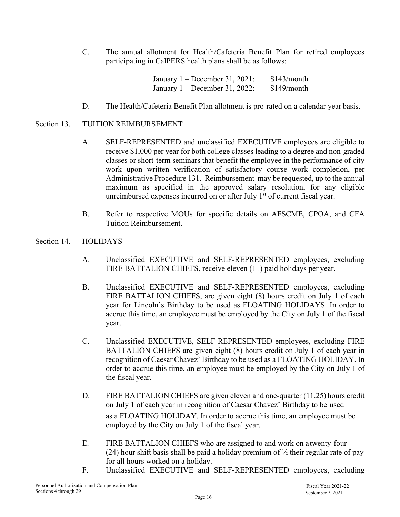C. The annual allotment for Health/Cafeteria Benefit Plan for retired employees participating in CalPERS health plans shall be as follows:

> January 1 – December 31, 2021: \$143/month January 1 – December 31, 2022: \$149/month

D. The Health/Cafeteria Benefit Plan allotment is pro-rated on a calendar year basis.

#### Section 13. TUITION REIMBURSEMENT

- A. SELF-REPRESENTED and unclassified EXECUTIVE employees are eligible to receive \$1,000 per year for both college classes leading to a degree and non-graded classes or short-term seminars that benefit the employee in the performance of city work upon written verification of satisfactory course work completion, per Administrative Procedure 131. Reimbursement may be requested, up to the annual maximum as specified in the approved salary resolution, for any eligible unreimbursed expenses incurred on or after July 1<sup>st</sup> of current fiscal year.
- B. Refer to respective MOUs for specific details on AFSCME, CPOA, and CFA Tuition Reimbursement.
- Section 14. HOLIDAYS
	- A. Unclassified EXECUTIVE and SELF-REPRESENTED employees, excluding FIRE BATTALION CHIEFS, receive eleven (11) paid holidays per year.
	- B. Unclassified EXECUTIVE and SELF-REPRESENTED employees, excluding FIRE BATTALION CHIEFS, are given eight (8) hours credit on July 1 of each year for Lincoln's Birthday to be used as FLOATING HOLIDAYS. In order to accrue this time, an employee must be employed by the City on July 1 of the fiscal year.
	- C. Unclassified EXECUTIVE, SELF-REPRESENTED employees, excluding FIRE BATTALION CHIEFS are given eight (8) hours credit on July 1 of each year in recognition of Caesar Chavez' Birthday to be used as a FLOATING HOLIDAY. In order to accrue this time, an employee must be employed by the City on July 1 of the fiscal year.
	- D. FIRE BATTALION CHIEFS are given eleven and one-quarter (11.25) hours credit on July 1 of each year in recognition of Caesar Chavez' Birthday to be used as a FLOATING HOLIDAY. In order to accrue this time, an employee must be employed by the City on July 1 of the fiscal year.
	- E. FIRE BATTALION CHIEFS who are assigned to and work on a twenty-four (24) hour shift basis shall be paid a holiday premium of  $\frac{1}{2}$  their regular rate of pay for all hours worked on a holiday.
	- F. Unclassified EXECUTIVE and SELF-REPRESENTED employees, excluding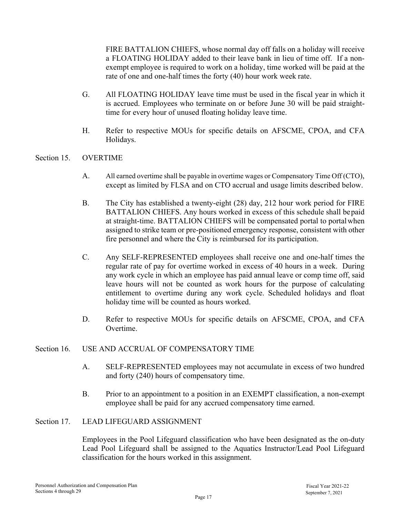FIRE BATTALION CHIEFS, whose normal day off falls on a holiday will receive a FLOATING HOLIDAY added to their leave bank in lieu of time off. If a nonexempt employee is required to work on a holiday, time worked will be paid at the rate of one and one-half times the forty (40) hour work week rate.

- G. All FLOATING HOLIDAY leave time must be used in the fiscal year in which it is accrued. Employees who terminate on or before June 30 will be paid straighttime for every hour of unused floating holiday leave time.
- H. Refer to respective MOUs for specific details on AFSCME, CPOA, and CFA Holidays.

#### Section 15. OVERTIME

- A. All earned overtime shall be payable in overtime wages or Compensatory Time Off (CTO), except as limited by FLSA and on CTO accrual and usage limits described below.
- B. The City has established a twenty-eight (28) day, 212 hour work period for FIRE BATTALION CHIEFS. Any hours worked in excess of this schedule shall be paid at straight-time. BATTALION CHIEFS will be compensated portal to portal when assigned to strike team or pre-positioned emergency response, consistent with other fire personnel and where the City is reimbursed for its participation.
- C. Any SELF-REPRESENTED employees shall receive one and one-half times the regular rate of pay for overtime worked in excess of 40 hours in a week. During any work cycle in which an employee has paid annual leave or comp time off, said leave hours will not be counted as work hours for the purpose of calculating entitlement to overtime during any work cycle. Scheduled holidays and float holiday time will be counted as hours worked.
- D. Refer to respective MOUs for specific details on AFSCME, CPOA, and CFA Overtime.

#### Section 16. USE AND ACCRUAL OF COMPENSATORY TIME

- A. SELF-REPRESENTED employees may not accumulate in excess of two hundred and forty (240) hours of compensatory time.
- B. Prior to an appointment to a position in an EXEMPT classification, a non-exempt employee shall be paid for any accrued compensatory time earned.

#### Section 17. LEAD LIFEGUARD ASSIGNMENT

Employees in the Pool Lifeguard classification who have been designated as the on-duty Lead Pool Lifeguard shall be assigned to the Aquatics Instructor/Lead Pool Lifeguard classification for the hours worked in this assignment.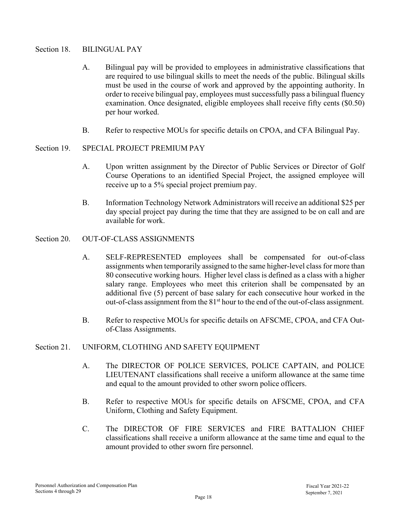#### Section 18. BILINGUAL PAY

- A. Bilingual pay will be provided to employees in administrative classifications that are required to use bilingual skills to meet the needs of the public. Bilingual skills must be used in the course of work and approved by the appointing authority. In order to receive bilingual pay, employees must successfully pass a bilingual fluency examination. Once designated, eligible employees shall receive fifty cents (\$0.50) per hour worked.
- B. Refer to respective MOUs for specific details on CPOA, and CFA Bilingual Pay.

#### Section 19. SPECIAL PROJECT PREMIUM PAY

- A. Upon written assignment by the Director of Public Services or Director of Golf Course Operations to an identified Special Project, the assigned employee will receive up to a 5% special project premium pay.
- B. Information Technology Network Administrators will receive an additional \$25 per day special project pay during the time that they are assigned to be on call and are available for work.

#### Section 20. OUT-OF-CLASS ASSIGNMENTS

- A. SELF-REPRESENTED employees shall be compensated for out-of-class assignments when temporarily assigned to the same higher-level class for more than 80 consecutive working hours. Higher level class is defined as a class with a higher salary range. Employees who meet this criterion shall be compensated by an additional five (5) percent of base salary for each consecutive hour worked in the out-of-class assignment from the 81<sup>st</sup> hour to the end of the out-of-class assignment.
- B. Refer to respective MOUs for specific details on AFSCME, CPOA, and CFA Outof-Class Assignments.

#### Section 21. UNIFORM, CLOTHING AND SAFETY EQUIPMENT

- A. The DIRECTOR OF POLICE SERVICES, POLICE CAPTAIN, and POLICE LIEUTENANT classifications shall receive a uniform allowance at the same time and equal to the amount provided to other sworn police officers.
- B. Refer to respective MOUs for specific details on AFSCME, CPOA, and CFA Uniform, Clothing and Safety Equipment.
- C. The DIRECTOR OF FIRE SERVICES and FIRE BATTALION CHIEF classifications shall receive a uniform allowance at the same time and equal to the amount provided to other sworn fire personnel.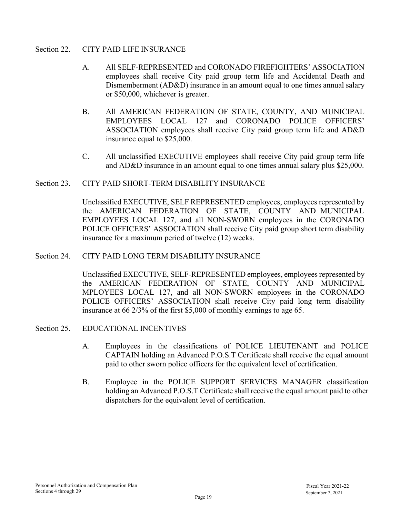#### Section 22. CITY PAID LIFE INSURANCE

- A. All SELF-REPRESENTED and CORONADO FIREFIGHTERS' ASSOCIATION employees shall receive City paid group term life and Accidental Death and Dismemberment (AD&D) insurance in an amount equal to one times annual salary or \$50,000, whichever is greater.
- B. All AMERICAN FEDERATION OF STATE, COUNTY, AND MUNICIPAL EMPLOYEES LOCAL 127 and CORONADO POLICE OFFICERS' ASSOCIATION employees shall receive City paid group term life and AD&D insurance equal to \$25,000.
- C. All unclassified EXECUTIVE employees shall receive City paid group term life and AD&D insurance in an amount equal to one times annual salary plus \$25,000.

#### Section 23. CITY PAID SHORT-TERM DISABILITY INSURANCE

Unclassified EXECUTIVE, SELF REPRESENTED employees, employees represented by the AMERICAN FEDERATION OF STATE, COUNTY AND MUNICIPAL EMPLOYEES LOCAL 127, and all NON-SWORN employees in the CORONADO POLICE OFFICERS' ASSOCIATION shall receive City paid group short term disability insurance for a maximum period of twelve (12) weeks.

#### Section 24. CITY PAID LONG TERM DISABILITY INSURANCE

Unclassified EXECUTIVE, SELF-REPRESENTED employees, employees represented by the AMERICAN FEDERATION OF STATE, COUNTY AND MUNICIPAL MPLOYEES LOCAL 127, and all NON-SWORN employees in the CORONADO POLICE OFFICERS' ASSOCIATION shall receive City paid long term disability insurance at 66 2/3% of the first \$5,000 of monthly earnings to age 65.

- Section 25. EDUCATIONAL INCENTIVES
	- A. Employees in the classifications of POLICE LIEUTENANT and POLICE CAPTAIN holding an Advanced P.O.S.T Certificate shall receive the equal amount paid to other sworn police officers for the equivalent level of certification.
	- B. Employee in the POLICE SUPPORT SERVICES MANAGER classification holding an Advanced P.O.S.T Certificate shall receive the equal amount paid to other dispatchers for the equivalent level of certification.